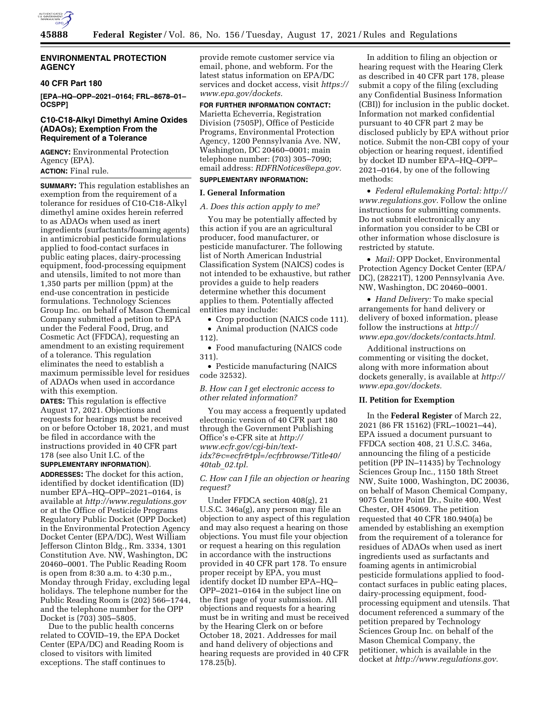

## **ENVIRONMENTAL PROTECTION AGENCY**

#### **40 CFR Part 180**

**[EPA–HQ–OPP–2021–0164; FRL–8678–01– OCSPP]** 

## **C10-C18-Alkyl Dimethyl Amine Oxides (ADAOs); Exemption From the Requirement of a Tolerance**

**AGENCY:** Environmental Protection Agency (EPA). **ACTION:** Final rule.

**SUMMARY:** This regulation establishes an exemption from the requirement of a tolerance for residues of C10-C18-Alkyl dimethyl amine oxides herein referred to as ADAOs when used as inert ingredients (surfactants/foaming agents) in antimicrobial pesticide formulations applied to food-contact surfaces in public eating places, dairy-processing equipment, food-processing equipment and utensils, limited to not more than 1,350 parts per million (ppm) at the end-use concentration in pesticide formulations. Technology Sciences Group Inc. on behalf of Mason Chemical Company submitted a petition to EPA under the Federal Food, Drug, and Cosmetic Act (FFDCA), requesting an amendment to an existing requirement of a tolerance. This regulation eliminates the need to establish a maximum permissible level for residues of ADAOs when used in accordance with this exemption.

**DATES:** This regulation is effective August 17, 2021. Objections and requests for hearings must be received on or before October 18, 2021, and must be filed in accordance with the instructions provided in 40 CFR part 178 (see also Unit I.C. of the **SUPPLEMENTARY INFORMATION**).

**ADDRESSES:** The docket for this action, identified by docket identification (ID) number EPA–HQ–OPP–2021–0164, is available at *<http://www.regulations.gov>* or at the Office of Pesticide Programs Regulatory Public Docket (OPP Docket) in the Environmental Protection Agency Docket Center (EPA/DC), West William Jefferson Clinton Bldg., Rm. 3334, 1301 Constitution Ave. NW, Washington, DC 20460–0001. The Public Reading Room is open from 8:30 a.m. to 4:30 p.m., Monday through Friday, excluding legal holidays. The telephone number for the Public Reading Room is (202) 566–1744, and the telephone number for the OPP Docket is (703) 305–5805.

Due to the public health concerns related to COVID–19, the EPA Docket Center (EPA/DC) and Reading Room is closed to visitors with limited exceptions. The staff continues to

provide remote customer service via email, phone, and webform. For the latest status information on EPA/DC services and docket access, visit *[https://](https://www.epa.gov/dockets) [www.epa.gov/dockets.](https://www.epa.gov/dockets)* 

**FOR FURTHER INFORMATION CONTACT:**  Marietta Echeverria, Registration Division (7505P), Office of Pesticide Programs, Environmental Protection Agency, 1200 Pennsylvania Ave. NW, Washington, DC 20460–0001; main telephone number: (703) 305–7090; email address: *[RDFRNotices@epa.gov.](mailto:RDFRNotices@epa.gov)* 

# **SUPPLEMENTARY INFORMATION:**

# **I. General Information**

#### *A. Does this action apply to me?*

You may be potentially affected by this action if you are an agricultural producer, food manufacturer, or pesticide manufacturer. The following list of North American Industrial Classification System (NAICS) codes is not intended to be exhaustive, but rather provides a guide to help readers determine whether this document applies to them. Potentially affected entities may include:

• Crop production (NAICS code 111). • Animal production (NAICS code

112).

• Food manufacturing (NAICS code 311).

• Pesticide manufacturing (NAICS code 32532).

*B. How can I get electronic access to other related information?* 

You may access a frequently updated electronic version of 40 CFR part 180 through the Government Publishing Office's e-CFR site at *[http://](http://www.ecfr.gov/cgi-bin/text-idx?&c=ecfr&tpl=/ecfrbrowse/Title40/40tab_02.tpl) [www.ecfr.gov/cgi-bin/text](http://www.ecfr.gov/cgi-bin/text-idx?&c=ecfr&tpl=/ecfrbrowse/Title40/40tab_02.tpl)[idx?&c=ecfr&tpl=/ecfrbrowse/Title40/](http://www.ecfr.gov/cgi-bin/text-idx?&c=ecfr&tpl=/ecfrbrowse/Title40/40tab_02.tpl)  40tab*\_*[02.tpl.](http://www.ecfr.gov/cgi-bin/text-idx?&c=ecfr&tpl=/ecfrbrowse/Title40/40tab_02.tpl)* 

## *C. How can I file an objection or hearing request?*

Under FFDCA section 408(g), 21 U.S.C. 346a(g), any person may file an objection to any aspect of this regulation and may also request a hearing on those objections. You must file your objection or request a hearing on this regulation in accordance with the instructions provided in 40 CFR part 178. To ensure proper receipt by EPA, you must identify docket ID number EPA–HQ– OPP–2021–0164 in the subject line on the first page of your submission. All objections and requests for a hearing must be in writing and must be received by the Hearing Clerk on or before October 18, 2021. Addresses for mail and hand delivery of objections and hearing requests are provided in 40 CFR 178.25(b).

In addition to filing an objection or hearing request with the Hearing Clerk as described in 40 CFR part 178, please submit a copy of the filing (excluding any Confidential Business Information (CBI)) for inclusion in the public docket. Information not marked confidential pursuant to 40 CFR part 2 may be disclosed publicly by EPA without prior notice. Submit the non-CBI copy of your objection or hearing request, identified by docket ID number EPA–HQ–OPP– 2021–0164, by one of the following methods:

• *Federal eRulemaking Portal: [http://](http://www.regulations.gov)  [www.regulations.gov.](http://www.regulations.gov)* Follow the online instructions for submitting comments. Do not submit electronically any information you consider to be CBI or other information whose disclosure is restricted by statute.

• *Mail:* OPP Docket, Environmental Protection Agency Docket Center (EPA/ DC), (28221T), 1200 Pennsylvania Ave. NW, Washington, DC 20460–0001.

• *Hand Delivery:* To make special arrangements for hand delivery or delivery of boxed information, please follow the instructions at *[http://](http://www.epa.gov/dockets/contacts.html) [www.epa.gov/dockets/contacts.html.](http://www.epa.gov/dockets/contacts.html)* 

Additional instructions on commenting or visiting the docket, along with more information about dockets generally, is available at *[http://](http://www.epa.gov/dockets) [www.epa.gov/dockets.](http://www.epa.gov/dockets)* 

## **II. Petition for Exemption**

In the **Federal Register** of March 22, 2021 (86 FR 15162) (FRL–10021–44), EPA issued a document pursuant to FFDCA section 408, 21 U.S.C. 346a, announcing the filing of a pesticide petition (PP IN–11435) by Technology Sciences Group Inc., 1150 18th Street NW, Suite 1000, Washington, DC 20036, on behalf of Mason Chemical Company, 9075 Centre Point Dr., Suite 400, West Chester, OH 45069. The petition requested that 40 CFR 180.940(a) be amended by establishing an exemption from the requirement of a tolerance for residues of ADAOs when used as inert ingredients used as surfactants and foaming agents in antimicrobial pesticide formulations applied to foodcontact surfaces in public eating places, dairy-processing equipment, foodprocessing equipment and utensils. That document referenced a summary of the petition prepared by Technology Sciences Group Inc. on behalf of the Mason Chemical Company, the petitioner, which is available in the docket at *[http://www.regulations.gov.](http://www.regulations.gov)*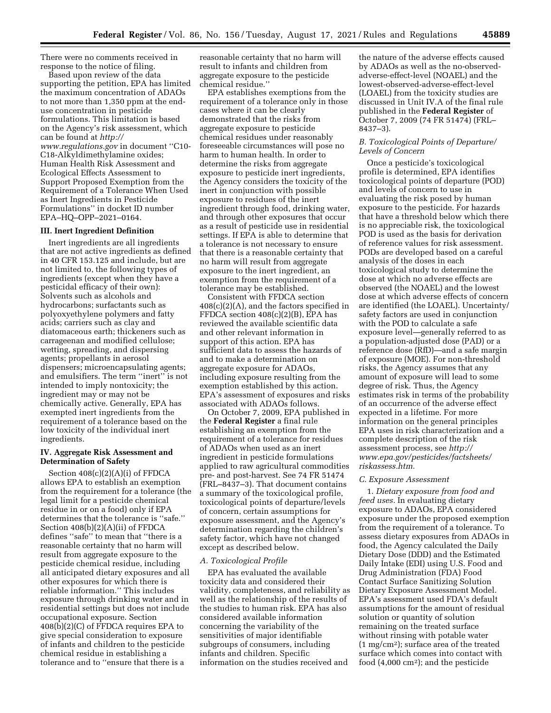There were no comments received in response to the notice of filing.

Based upon review of the data supporting the petition, EPA has limited the maximum concentration of ADAOs to not more than 1,350 ppm at the enduse concentration in pesticide formulations. This limitation is based on the Agency's risk assessment, which can be found at *[http://](http://www.regulations.gov) [www.regulations.gov](http://www.regulations.gov)* in document ''C10- C18-Alkyldimethylamine oxides; Human Health Risk Assessment and Ecological Effects Assessment to Support Proposed Exemption from the Requirement of a Tolerance When Used

as Inert Ingredients in Pesticide Formulations'' in docket ID number EPA–HQ–OPP–2021–0164.

## **III. Inert Ingredient Definition**

Inert ingredients are all ingredients that are not active ingredients as defined in 40 CFR 153.125 and include, but are not limited to, the following types of ingredients (except when they have a pesticidal efficacy of their own): Solvents such as alcohols and hydrocarbons; surfactants such as polyoxyethylene polymers and fatty acids; carriers such as clay and diatomaceous earth; thickeners such as carrageenan and modified cellulose; wetting, spreading, and dispersing agents; propellants in aerosol dispensers; microencapsulating agents; and emulsifiers. The term ''inert'' is not intended to imply nontoxicity; the ingredient may or may not be chemically active. Generally, EPA has exempted inert ingredients from the requirement of a tolerance based on the low toxicity of the individual inert ingredients.

## **IV. Aggregate Risk Assessment and Determination of Safety**

Section 408(c)(2)(A)(i) of FFDCA allows EPA to establish an exemption from the requirement for a tolerance (the legal limit for a pesticide chemical residue in or on a food) only if EPA determines that the tolerance is ''safe.'' Section 408(b)(2)(A)(ii) of FFDCA defines ''safe'' to mean that ''there is a reasonable certainty that no harm will result from aggregate exposure to the pesticide chemical residue, including all anticipated dietary exposures and all other exposures for which there is reliable information.'' This includes exposure through drinking water and in residential settings but does not include occupational exposure. Section 408(b)(2)(C) of FFDCA requires EPA to give special consideration to exposure of infants and children to the pesticide chemical residue in establishing a tolerance and to ''ensure that there is a

reasonable certainty that no harm will result to infants and children from aggregate exposure to the pesticide chemical residue.''

EPA establishes exemptions from the requirement of a tolerance only in those cases where it can be clearly demonstrated that the risks from aggregate exposure to pesticide chemical residues under reasonably foreseeable circumstances will pose no harm to human health. In order to determine the risks from aggregate exposure to pesticide inert ingredients, the Agency considers the toxicity of the inert in conjunction with possible exposure to residues of the inert ingredient through food, drinking water, and through other exposures that occur as a result of pesticide use in residential settings. If EPA is able to determine that a tolerance is not necessary to ensure that there is a reasonable certainty that no harm will result from aggregate exposure to the inert ingredient, an exemption from the requirement of a tolerance may be established.

Consistent with FFDCA section 408(c)(2)(A), and the factors specified in FFDCA section 408(c)(2)(B), EPA has reviewed the available scientific data and other relevant information in support of this action. EPA has sufficient data to assess the hazards of and to make a determination on aggregate exposure for ADAOs, including exposure resulting from the exemption established by this action. EPA's assessment of exposures and risks associated with ADAOs follows.

On October 7, 2009, EPA published in the **Federal Register** a final rule establishing an exemption from the requirement of a tolerance for residues of ADAOs when used as an inert ingredient in pesticide formulations applied to raw agricultural commodities pre- and post-harvest. See 74 FR 51474 (FRL–8437–3). That document contains a summary of the toxicological profile, toxicological points of departure/levels of concern, certain assumptions for exposure assessment, and the Agency's determination regarding the children's safety factor, which have not changed except as described below.

## *A. Toxicological Profile*

EPA has evaluated the available toxicity data and considered their validity, completeness, and reliability as well as the relationship of the results of the studies to human risk. EPA has also considered available information concerning the variability of the sensitivities of major identifiable subgroups of consumers, including infants and children. Specific information on the studies received and

the nature of the adverse effects caused by ADAOs as well as the no-observedadverse-effect-level (NOAEL) and the lowest-observed-adverse-effect-level (LOAEL) from the toxicity studies are discussed in Unit IV.A of the final rule published in the **Federal Register** of October 7, 2009 (74 FR 51474) (FRL– 8437–3).

## *B. Toxicological Points of Departure/ Levels of Concern*

Once a pesticide's toxicological profile is determined, EPA identifies toxicological points of departure (POD) and levels of concern to use in evaluating the risk posed by human exposure to the pesticide. For hazards that have a threshold below which there is no appreciable risk, the toxicological POD is used as the basis for derivation of reference values for risk assessment. PODs are developed based on a careful analysis of the doses in each toxicological study to determine the dose at which no adverse effects are observed (the NOAEL) and the lowest dose at which adverse effects of concern are identified (the LOAEL). Uncertainty/ safety factors are used in conjunction with the POD to calculate a safe exposure level—generally referred to as a population-adjusted dose (PAD) or a reference dose (RfD)—and a safe margin of exposure (MOE). For non-threshold risks, the Agency assumes that any amount of exposure will lead to some degree of risk. Thus, the Agency estimates risk in terms of the probability of an occurrence of the adverse effect expected in a lifetime. For more information on the general principles EPA uses in risk characterization and a complete description of the risk assessment process, see *[http://](http://www.epa.gov/pesticides/factsheets/riskassess.htm) [www.epa.gov/pesticides/factsheets/](http://www.epa.gov/pesticides/factsheets/riskassess.htm) [riskassess.htm.](http://www.epa.gov/pesticides/factsheets/riskassess.htm)* 

#### *C. Exposure Assessment*

1. *Dietary exposure from food and feed uses.* In evaluating dietary exposure to ADAOs, EPA considered exposure under the proposed exemption from the requirement of a tolerance. To assess dietary exposures from ADAOs in food, the Agency calculated the Daily Dietary Dose (DDD) and the Estimated Daily Intake (EDI) using U.S. Food and Drug Administration (FDA) Food Contact Surface Sanitizing Solution Dietary Exposure Assessment Model. EPA's assessment used FDA's default assumptions for the amount of residual solution or quantity of solution remaining on the treated surface without rinsing with potable water (1 mg/cm2); surface area of the treated surface which comes into contact with food (4,000 cm2); and the pesticide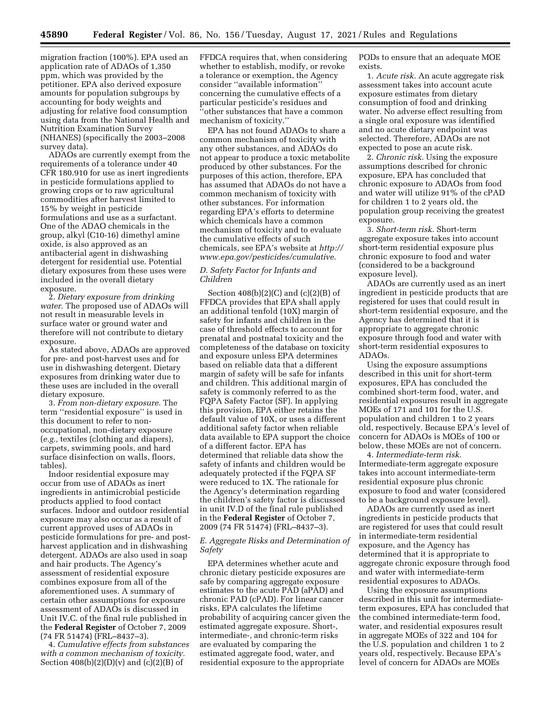migration fraction (100%). EPA used an application rate of ADAOs of 1,350 ppm, which was provided by the petitioner. EPA also derived exposure amounts for population subgroups by accounting for body weights and adjusting for relative food consumption using data from the National Health and Nutrition Examination Survey (NHANES) (specifically the 2003–2008 survey data).

ADAOs are currently exempt from the requirements of a tolerance under 40 CFR 180.910 for use as inert ingredients in pesticide formulations applied to growing crops or to raw agricultural commodities after harvest limited to 15% by weight in pesticide formulations and use as a surfactant. One of the ADAO chemicals in the group, alkyl (C10-16) dimethyl amine oxide, is also approved as an antibacterial agent in dishwashing detergent for residential use. Potential dietary exposures from these uses were included in the overall dietary exposure.

2. *Dietary exposure from drinking water.* The proposed use of ADAOs will not result in measurable levels in surface water or ground water and therefore will not contribute to dietary exposure.

As stated above, ADAOs are approved for pre- and post-harvest uses and for use in dishwashing detergent. Dietary exposures from drinking water due to these uses are included in the overall dietary exposure.

3. *From non-dietary exposure.* The term ''residential exposure'' is used in this document to refer to nonoccupational, non-dietary exposure (*e.g.,* textiles (clothing and diapers), carpets, swimming pools, and hard surface disinfection on walls, floors, tables).

Indoor residential exposure may occur from use of ADAOs as inert ingredients in antimicrobial pesticide products applied to food contact surfaces. Indoor and outdoor residential exposure may also occur as a result of current approved uses of ADAOs in pesticide formulations for pre- and postharvest application and in dishwashing detergent. ADAOs are also used in soap and hair products. The Agency's assessment of residential exposure combines exposure from all of the aforementioned uses. A summary of certain other assumptions for exposure assessment of ADAOs is discussed in Unit IV.C. of the final rule published in the **Federal Register** of October 7, 2009 (74 FR 51474) (FRL–8437–3).

4. *Cumulative effects from substances with a common mechanism of toxicity.*  Section  $408(b)(2)(D)(v)$  and  $(c)(2)(B)$  of

FFDCA requires that, when considering whether to establish, modify, or revoke a tolerance or exemption, the Agency consider ''available information'' concerning the cumulative effects of a particular pesticide's residues and ''other substances that have a common mechanism of toxicity.''

EPA has not found ADAOs to share a common mechanism of toxicity with any other substances, and ADAOs do not appear to produce a toxic metabolite produced by other substances. For the purposes of this action, therefore, EPA has assumed that ADAOs do not have a common mechanism of toxicity with other substances. For information regarding EPA's efforts to determine which chemicals have a common mechanism of toxicity and to evaluate the cumulative effects of such chemicals, see EPA's website at *[http://](http://www.epa.gov/pesticides/cumulative) [www.epa.gov/pesticides/cumulative.](http://www.epa.gov/pesticides/cumulative)* 

#### *D. Safety Factor for Infants and Children*

Section  $408(b)(2)(C)$  and  $(c)(2)(B)$  of FFDCA provides that EPA shall apply an additional tenfold (10X) margin of safety for infants and children in the case of threshold effects to account for prenatal and postnatal toxicity and the completeness of the database on toxicity and exposure unless EPA determines based on reliable data that a different margin of safety will be safe for infants and children. This additional margin of safety is commonly referred to as the FQPA Safety Factor (SF). In applying this provision, EPA either retains the default value of 10X, or uses a different additional safety factor when reliable data available to EPA support the choice of a different factor. EPA has determined that reliable data show the safety of infants and children would be adequately protected if the FQPA SF were reduced to 1X. The rationale for the Agency's determination regarding the children's safety factor is discussed in unit IV.D of the final rule published in the **Federal Register** of October 7, 2009 (74 FR 51474) (FRL–8437–3).

#### *E. Aggregate Risks and Determination of Safety*

EPA determines whether acute and chronic dietary pesticide exposures are safe by comparing aggregate exposure estimates to the acute PAD (aPAD) and chronic PAD (cPAD). For linear cancer risks, EPA calculates the lifetime probability of acquiring cancer given the estimated aggregate exposure. Short-, intermediate-, and chronic-term risks are evaluated by comparing the estimated aggregate food, water, and residential exposure to the appropriate

PODs to ensure that an adequate MOE exists.

1. *Acute risk.* An acute aggregate risk assessment takes into account acute exposure estimates from dietary consumption of food and drinking water. No adverse effect resulting from a single oral exposure was identified and no acute dietary endpoint was selected. Therefore, ADAOs are not expected to pose an acute risk.

2. *Chronic risk.* Using the exposure assumptions described for chronic exposure, EPA has concluded that chronic exposure to ADAOs from food and water will utilize 91% of the cPAD for children 1 to 2 years old, the population group receiving the greatest exposure.

3. *Short-term risk.* Short-term aggregate exposure takes into account short-term residential exposure plus chronic exposure to food and water (considered to be a background exposure level).

ADAOs are currently used as an inert ingredient in pesticide products that are registered for uses that could result in short-term residential exposure, and the Agency has determined that it is appropriate to aggregate chronic exposure through food and water with short-term residential exposures to ADAOs.

Using the exposure assumptions described in this unit for short-term exposures, EPA has concluded the combined short-term food, water, and residential exposures result in aggregate MOEs of 171 and 101 for the U.S. population and children 1 to 2 years old, respectively. Because EPA's level of concern for ADAOs is MOEs of 100 or below, these MOEs are not of concern.

4. *Intermediate-term risk.*  Intermediate-term aggregate exposure takes into account intermediate-term residential exposure plus chronic exposure to food and water (considered to be a background exposure level).

ADAOs are currently used as inert ingredients in pesticide products that are registered for uses that could result in intermediate-term residential exposure, and the Agency has determined that it is appropriate to aggregate chronic exposure through food and water with intermediate-term residential exposures to ADAOs.

Using the exposure assumptions described in this unit for intermediateterm exposures, EPA has concluded that the combined intermediate-term food, water, and residential exposures result in aggregate MOEs of 322 and 104 for the U.S. population and children 1 to 2 years old, respectively. Because EPA's level of concern for ADAOs are MOEs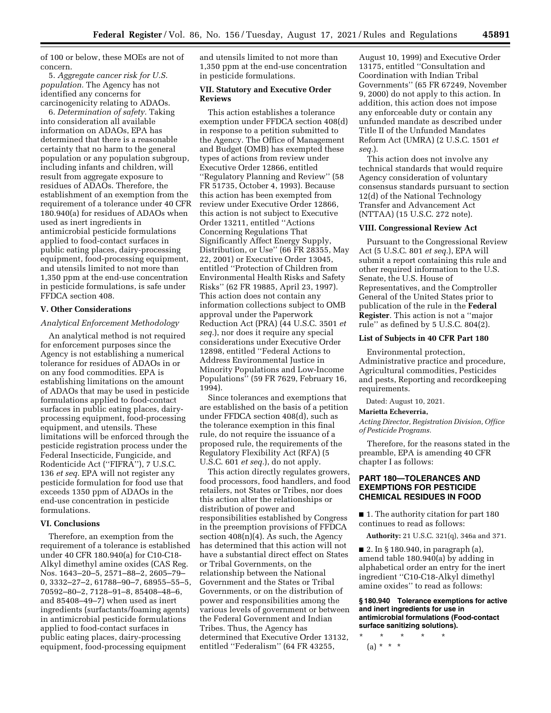of 100 or below, these MOEs are not of concern.

5. *Aggregate cancer risk for U.S. population.* The Agency has not identified any concerns for carcinogenicity relating to ADAOs.

6. *Determination of safety.* Taking into consideration all available information on ADAOs, EPA has determined that there is a reasonable certainty that no harm to the general population or any population subgroup, including infants and children, will result from aggregate exposure to residues of ADAOs. Therefore, the establishment of an exemption from the requirement of a tolerance under 40 CFR 180.940(a) for residues of ADAOs when used as inert ingredients in antimicrobial pesticide formulations applied to food-contact surfaces in public eating places, dairy-processing equipment, food-processing equipment, and utensils limited to not more than 1,350 ppm at the end-use concentration in pesticide formulations, is safe under FFDCA section 408.

## **V. Other Considerations**

## *Analytical Enforcement Methodology*

An analytical method is not required for enforcement purposes since the Agency is not establishing a numerical tolerance for residues of ADAOs in or on any food commodities. EPA is establishing limitations on the amount of ADAOs that may be used in pesticide formulations applied to food-contact surfaces in public eating places, dairyprocessing equipment, food-processing equipment, and utensils. These limitations will be enforced through the pesticide registration process under the Federal Insecticide, Fungicide, and Rodenticide Act (''FIFRA''), 7 U.S.C. 136 *et seq.* EPA will not register any pesticide formulation for food use that exceeds 1350 ppm of ADAOs in the end-use concentration in pesticide formulations.

#### **VI. Conclusions**

Therefore, an exemption from the requirement of a tolerance is established under 40 CFR 180.940(a) for C10-C18- Alkyl dimethyl amine oxides (CAS Reg. Nos. 1643–20–5, 2571–88–2, 2605–79– 0, 3332–27–2, 61788–90–7, 68955–55–5, 70592–80–2, 7128–91–8, 85408–48–6, and 85408–49–7) when used as inert ingredients (surfactants/foaming agents) in antimicrobial pesticide formulations applied to food-contact surfaces in public eating places, dairy-processing equipment, food-processing equipment

and utensils limited to not more than 1,350 ppm at the end-use concentration in pesticide formulations.

## **VII. Statutory and Executive Order Reviews**

This action establishes a tolerance exemption under FFDCA section 408(d) in response to a petition submitted to the Agency. The Office of Management and Budget (OMB) has exempted these types of actions from review under Executive Order 12866, entitled ''Regulatory Planning and Review'' (58 FR 51735, October 4, 1993). Because this action has been exempted from review under Executive Order 12866, this action is not subject to Executive Order 13211, entitled ''Actions Concerning Regulations That Significantly Affect Energy Supply, Distribution, or Use'' (66 FR 28355, May 22, 2001) or Executive Order 13045, entitled ''Protection of Children from Environmental Health Risks and Safety Risks'' (62 FR 19885, April 23, 1997). This action does not contain any information collections subject to OMB approval under the Paperwork Reduction Act (PRA) (44 U.S.C. 3501 *et seq.*), nor does it require any special considerations under Executive Order 12898, entitled ''Federal Actions to Address Environmental Justice in Minority Populations and Low-Income Populations'' (59 FR 7629, February 16, 1994).

Since tolerances and exemptions that are established on the basis of a petition under FFDCA section 408(d), such as the tolerance exemption in this final rule, do not require the issuance of a proposed rule, the requirements of the Regulatory Flexibility Act (RFA) (5 U.S.C. 601 *et seq.*), do not apply.

This action directly regulates growers, food processors, food handlers, and food retailers, not States or Tribes, nor does this action alter the relationships or distribution of power and responsibilities established by Congress in the preemption provisions of FFDCA section  $408(n)(4)$ . As such, the Agency has determined that this action will not have a substantial direct effect on States or Tribal Governments, on the relationship between the National Government and the States or Tribal Governments, or on the distribution of power and responsibilities among the various levels of government or between the Federal Government and Indian Tribes. Thus, the Agency has determined that Executive Order 13132, entitled ''Federalism'' (64 FR 43255,

August 10, 1999) and Executive Order 13175, entitled ''Consultation and Coordination with Indian Tribal Governments'' (65 FR 67249, November 9, 2000) do not apply to this action. In addition, this action does not impose any enforceable duty or contain any unfunded mandate as described under Title II of the Unfunded Mandates Reform Act (UMRA) (2 U.S.C. 1501 *et seq.*).

This action does not involve any technical standards that would require Agency consideration of voluntary consensus standards pursuant to section 12(d) of the National Technology Transfer and Advancement Act (NTTAA) (15 U.S.C. 272 note).

#### **VIII. Congressional Review Act**

Pursuant to the Congressional Review Act (5 U.S.C. 801 *et seq.*), EPA will submit a report containing this rule and other required information to the U.S. Senate, the U.S. House of Representatives, and the Comptroller General of the United States prior to publication of the rule in the **Federal Register**. This action is not a ''major rule'' as defined by 5 U.S.C. 804(2).

## **List of Subjects in 40 CFR Part 180**

Environmental protection, Administrative practice and procedure, Agricultural commodities, Pesticides and pests, Reporting and recordkeeping requirements.

Dated: August 10, 2021.

#### **Marietta Echeverria,**

*Acting Director, Registration Division, Office of Pesticide Programs.* 

Therefore, for the reasons stated in the preamble, EPA is amending 40 CFR chapter I as follows:

# **PART 180—TOLERANCES AND EXEMPTIONS FOR PESTICIDE CHEMICAL RESIDUES IN FOOD**

■ 1. The authority citation for part 180 continues to read as follows:

**Authority:** 21 U.S.C. 321(q), 346a and 371.

■ 2. In § 180.940, in paragraph (a), amend table 180.940(a) by adding in alphabetical order an entry for the inert ingredient ''C10-C18-Alkyl dimethyl amine oxides'' to read as follows:

**§ 180.940 Tolerance exemptions for active and inert ingredients for use in antimicrobial formulations (Food-contact surface sanitizing solutions).** 

\* \* \* \* \* (a) \* \* \*